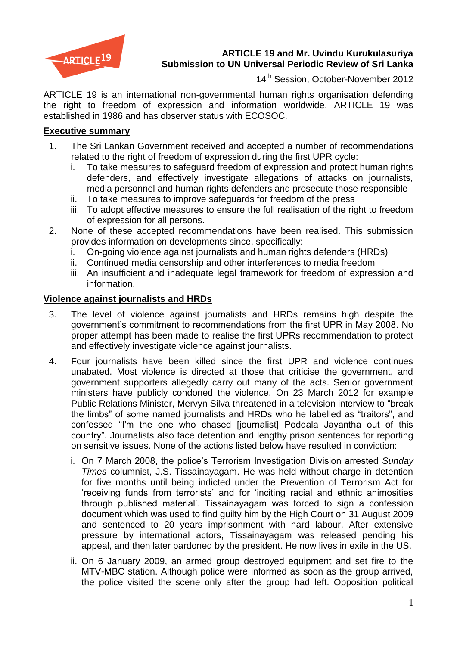

## **ARTICLE 19 and Mr. Uvindu Kurukulasuriya Submission to UN Universal Periodic Review of Sri Lanka**

14<sup>th</sup> Session, October-November 2012

ARTICLE 19 is an international non-governmental human rights organisation defending the right to freedom of expression and information worldwide. ARTICLE 19 was established in 1986 and has observer status with ECOSOC.

#### **Executive summary**

- 1. The Sri Lankan Government received and accepted a number of recommendations related to the right of freedom of expression during the first UPR cycle:
	- i. To take measures to safeguard freedom of expression and protect human rights defenders, and effectively investigate allegations of attacks on journalists, media personnel and human rights defenders and prosecute those responsible
	- ii. To take measures to improve safeguards for freedom of the press
	- iii. To adopt effective measures to ensure the full realisation of the right to freedom of expression for all persons.
- 2. None of these accepted recommendations have been realised. This submission provides information on developments since, specifically:
	- i. On-going violence against journalists and human rights defenders (HRDs)
	- ii. Continued media censorship and other interferences to media freedom
	- iii. An insufficient and inadequate legal framework for freedom of expression and information.

# **Violence against journalists and HRDs**

- 3. The level of violence against journalists and HRDs remains high despite the government"s commitment to recommendations from the first UPR in May 2008. No proper attempt has been made to realise the first UPRs recommendation to protect and effectively investigate violence against journalists.
- 4. Four journalists have been killed since the first UPR and violence continues unabated. Most violence is directed at those that criticise the government, and government supporters allegedly carry out many of the acts. Senior government ministers have publicly condoned the violence. On 23 March 2012 for example Public Relations Minister, Mervyn Silva threatened in a television interview to "break the limbs" of some named journalists and HRDs who he labelled as "traitors", and confessed "I'm the one who chased [journalist] Poddala Jayantha out of this country". Journalists also face detention and lengthy prison sentences for reporting on sensitive issues. None of the actions listed below have resulted in conviction:
	- i. On 7 March 2008, the police"s Terrorism Investigation Division arrested *Sunday Times* columnist, J.S. Tissainayagam. He was held without charge in detention for five months until being indicted under the Prevention of Terrorism Act for "receiving funds from terrorists" and for "inciting racial and ethnic animosities through published material". Tissainayagam was forced to sign a confession document which was used to find guilty him by the High Court on 31 August 2009 and sentenced to 20 years imprisonment with hard labour. After extensive pressure by international actors, Tissainayagam was released pending his appeal, and then later pardoned by the president. He now lives in exile in the US.
	- ii. On 6 January 2009, an armed group destroyed equipment and set fire to the MTV-MBC station. Although police were informed as soon as the group arrived, the police visited the scene only after the group had left. Opposition political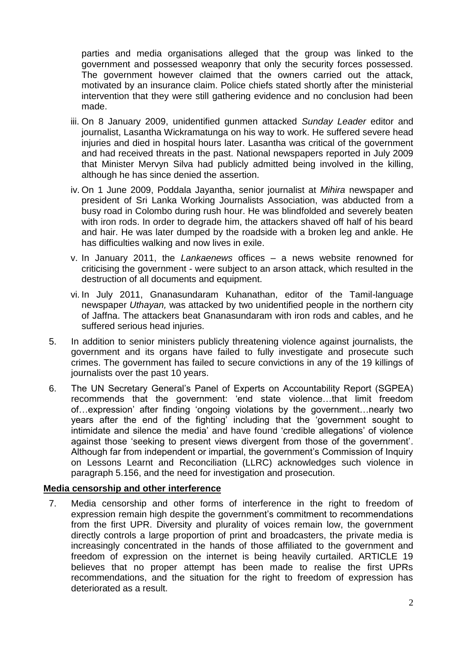parties and media organisations alleged that the group was linked to the government and possessed weaponry that only the security forces possessed. The government however claimed that the owners carried out the attack, motivated by an insurance claim. Police chiefs stated shortly after the ministerial intervention that they were still gathering evidence and no conclusion had been made.

- iii. On 8 January 2009, unidentified gunmen attacked *Sunday Leader* editor and journalist, Lasantha Wickramatunga on his way to work. He suffered severe head injuries and died in hospital hours later. Lasantha was critical of the government and had received threats in the past. National newspapers reported in July 2009 that Minister Mervyn Silva had publicly admitted being involved in the killing, although he has since denied the assertion.
- iv. On 1 June 2009, Poddala Jayantha, senior journalist at *Mihira* newspaper and president of Sri Lanka Working Journalists Association, was abducted from a busy road in Colombo during rush hour. He was blindfolded and severely beaten with iron rods. In order to degrade him, the attackers shaved off half of his beard and hair. He was later dumped by the roadside with a broken leg and ankle. He has difficulties walking and now lives in exile.
- v. In January 2011, the *Lankaenews* offices a news website renowned for criticising the government - were subject to an arson attack, which resulted in the destruction of all documents and equipment.
- vi. In July 2011, Gnanasundaram Kuhanathan, editor of the Tamil-language newspaper *Uthayan,* was attacked by two unidentified people in the northern city of Jaffna. The attackers beat Gnanasundaram with iron rods and cables, and he suffered serious head injuries.
- 5. In addition to senior ministers publicly threatening violence against journalists, the government and its organs have failed to fully investigate and prosecute such crimes. The government has failed to secure convictions in any of the 19 killings of journalists over the past 10 years.
- 6. The UN Secretary General"s Panel of Experts on Accountability Report (SGPEA) recommends that the government: "end state violence…that limit freedom of…expression" after finding "ongoing violations by the government…nearly two years after the end of the fighting" including that the "government sought to intimidate and silence the media" and have found "credible allegations" of violence against those "seeking to present views divergent from those of the government". Although far from independent or impartial, the government's Commission of Inquiry on Lessons Learnt and Reconciliation (LLRC) acknowledges such violence in paragraph 5.156, and the need for investigation and prosecution.

### **Media censorship and other interference**

7. Media censorship and other forms of interference in the right to freedom of expression remain high despite the government's commitment to recommendations from the first UPR. Diversity and plurality of voices remain low, the government directly controls a large proportion of print and broadcasters, the private media is increasingly concentrated in the hands of those affiliated to the government and freedom of expression on the internet is being heavily curtailed. ARTICLE 19 believes that no proper attempt has been made to realise the first UPRs recommendations, and the situation for the right to freedom of expression has deteriorated as a result.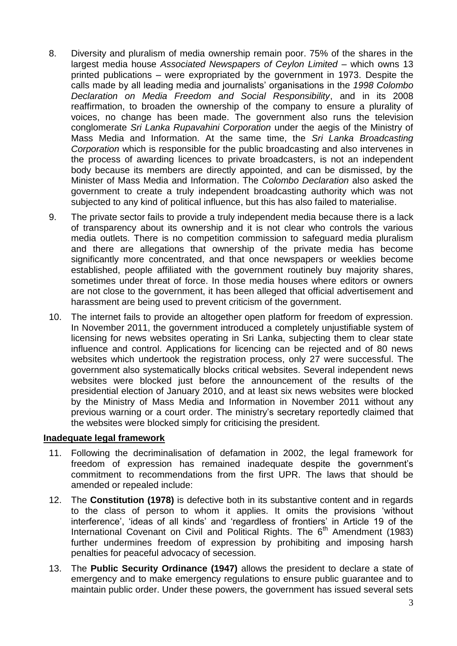- 8. Diversity and pluralism of media ownership remain poor. 75% of the shares in the largest media house *Associated Newspapers of Ceylon Limited* – which owns 13 printed publications – were expropriated by the government in 1973. Despite the calls made by all leading media and journalists" organisations in the *1998 Colombo Declaration on Media Freedom and Social Responsibility*, and in its 2008 reaffirmation, to broaden the ownership of the company to ensure a plurality of voices, no change has been made. The government also runs the television conglomerate *Sri Lanka Rupavahini Corporation* under the aegis of the Ministry of Mass Media and Information. At the same time, the *Sri Lanka Broadcasting Corporation* which is responsible for the public broadcasting and also intervenes in the process of awarding licences to private broadcasters, is not an independent body because its members are directly appointed, and can be dismissed, by the Minister of Mass Media and Information. The *Colombo Declaration* also asked the government to create a truly independent broadcasting authority which was not subjected to any kind of political influence, but this has also failed to materialise.
- 9. The private sector fails to provide a truly independent media because there is a lack of transparency about its ownership and it is not clear who controls the various media outlets. There is no competition commission to safeguard media pluralism and there are allegations that ownership of the private media has become significantly more concentrated, and that once newspapers or weeklies become established, people affiliated with the government routinely buy majority shares, sometimes under threat of force. In those media houses where editors or owners are not close to the government, it has been alleged that official advertisement and harassment are being used to prevent criticism of the government.
- 10. The internet fails to provide an altogether open platform for freedom of expression. In November 2011, the government introduced a completely unjustifiable system of licensing for news websites operating in Sri Lanka, subjecting them to clear state influence and control. Applications for licencing can be rejected and of 80 news websites which undertook the registration process, only 27 were successful. The government also systematically blocks critical websites. Several independent news websites were blocked just before the announcement of the results of the presidential election of January 2010, and at least six news websites were blocked by the Ministry of Mass Media and Information in November 2011 without any previous warning or a court order. The ministry"s secretary reportedly claimed that the websites were blocked simply for criticising the president.

#### **Inadequate legal framework**

- 11. Following the decriminalisation of defamation in 2002, the legal framework for freedom of expression has remained inadequate despite the government"s commitment to recommendations from the first UPR. The laws that should be amended or repealed include:
- 12. The **Constitution (1978)** is defective both in its substantive content and in regards to the class of person to whom it applies. It omits the provisions "without interference', 'ideas of all kinds' and 'regardless of frontiers' in Article 19 of the International Covenant on Civil and Political Rights. The  $6<sup>th</sup>$  Amendment (1983) further undermines freedom of expression by prohibiting and imposing harsh penalties for peaceful advocacy of secession.
- 13. The **Public Security Ordinance (1947)** allows the president to declare a state of emergency and to make emergency regulations to ensure public guarantee and to maintain public order. Under these powers, the government has issued several sets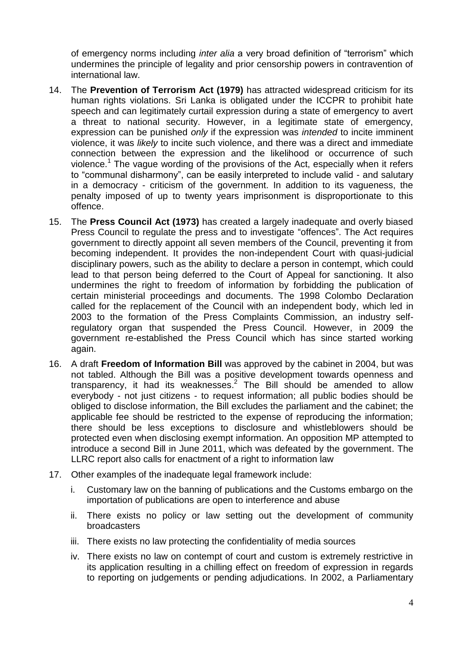of emergency norms including *inter alia* a very broad definition of "terrorism" which undermines the principle of legality and prior censorship powers in contravention of international law.

- 14. The **Prevention of Terrorism Act (1979)** has attracted widespread criticism for its human rights violations. Sri Lanka is obligated under the ICCPR to prohibit hate speech and can legitimately curtail expression during a state of emergency to avert a threat to national security. However, in a legitimate state of emergency, expression can be punished *only* if the expression was *intended* to incite imminent violence, it was *likely* to incite such violence, and there was a direct and immediate connection between the expression and the likelihood or occurrence of such violence.<sup>1</sup> The vague wording of the provisions of the Act, especially when it refers to "communal disharmony", can be easily interpreted to include valid - and salutary in a democracy - criticism of the government. In addition to its vagueness, the penalty imposed of up to twenty years imprisonment is disproportionate to this offence.
- 15. The **Press Council Act (1973)** has created a largely inadequate and overly biased Press Council to regulate the press and to investigate "offences". The Act requires government to directly appoint all seven members of the Council, preventing it from becoming independent. It provides the non-independent Court with quasi-judicial disciplinary powers, such as the ability to declare a person in contempt, which could lead to that person being deferred to the Court of Appeal for sanctioning. It also undermines the right to freedom of information by forbidding the publication of certain ministerial proceedings and documents. The 1998 Colombo Declaration called for the replacement of the Council with an independent body, which led in 2003 to the formation of the Press Complaints Commission, an industry selfregulatory organ that suspended the Press Council. However, in 2009 the government re-established the Press Council which has since started working again.
- 16. A draft **Freedom of Information Bill** was approved by the cabinet in 2004, but was not tabled. Although the Bill was a positive development towards openness and transparency, it had its weaknesses. $2$  The Bill should be amended to allow everybody - not just citizens - to request information; all public bodies should be obliged to disclose information, the Bill excludes the parliament and the cabinet; the applicable fee should be restricted to the expense of reproducing the information; there should be less exceptions to disclosure and whistleblowers should be protected even when disclosing exempt information. An opposition MP attempted to introduce a second Bill in June 2011, which was defeated by the government. The LLRC report also calls for enactment of a right to information law
- 17. Other examples of the inadequate legal framework include:
	- i. Customary law on the banning of publications and the Customs embargo on the importation of publications are open to interference and abuse
	- ii. There exists no policy or law setting out the development of community broadcasters
	- iii. There exists no law protecting the confidentiality of media sources
	- iv. There exists no law on contempt of court and custom is extremely restrictive in its application resulting in a chilling effect on freedom of expression in regards to reporting on judgements or pending adjudications. In 2002, a Parliamentary